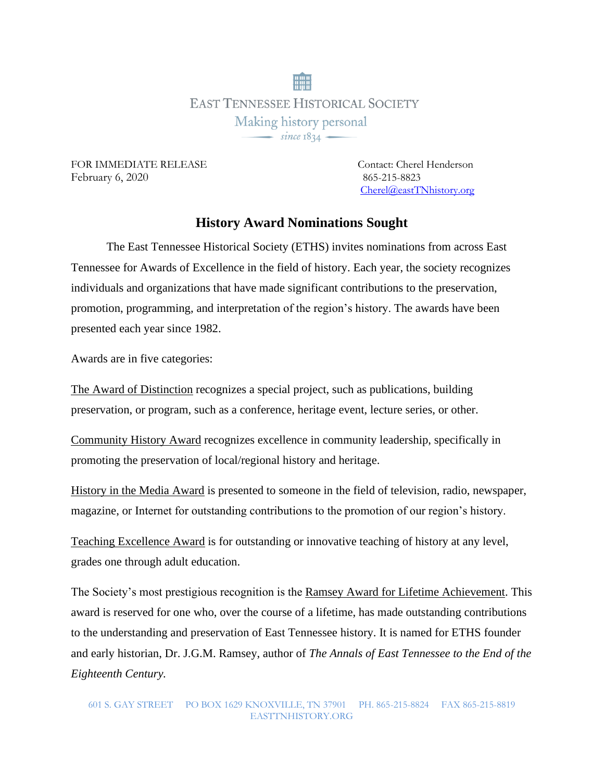**EAST TENNESSEE HISTORICAL SOCIETY** Making history personal  $-$  since  $1834 -$ 

FOR IMMEDIATE RELEASE Contact: Cherel Henderson February 6, 2020 865-215-8823

[Cherel@eastTNhistory.org](mailto:Cherel@eastTNhistory.org)

## **History Award Nominations Sought**

The East Tennessee Historical Society (ETHS) invites nominations from across East Tennessee for Awards of Excellence in the field of history. Each year, the society recognizes individuals and organizations that have made significant contributions to the preservation, promotion, programming, and interpretation of the region's history. The awards have been presented each year since 1982.

Awards are in five categories:

The Award of Distinction recognizes a special project, such as publications, building preservation, or program, such as a conference, heritage event, lecture series, or other.

Community History Award recognizes excellence in community leadership, specifically in promoting the preservation of local/regional history and heritage.

History in the Media Award is presented to someone in the field of television, radio, newspaper, magazine, or Internet for outstanding contributions to the promotion of our region's history.

Teaching Excellence Award is for outstanding or innovative teaching of history at any level, grades one through adult education.

The Society's most prestigious recognition is the Ramsey Award for Lifetime Achievement. This award is reserved for one who, over the course of a lifetime, has made outstanding contributions to the understanding and preservation of East Tennessee history. It is named for ETHS founder and early historian, Dr. J.G.M. Ramsey, author of *The Annals of East Tennessee to the End of the Eighteenth Century.*